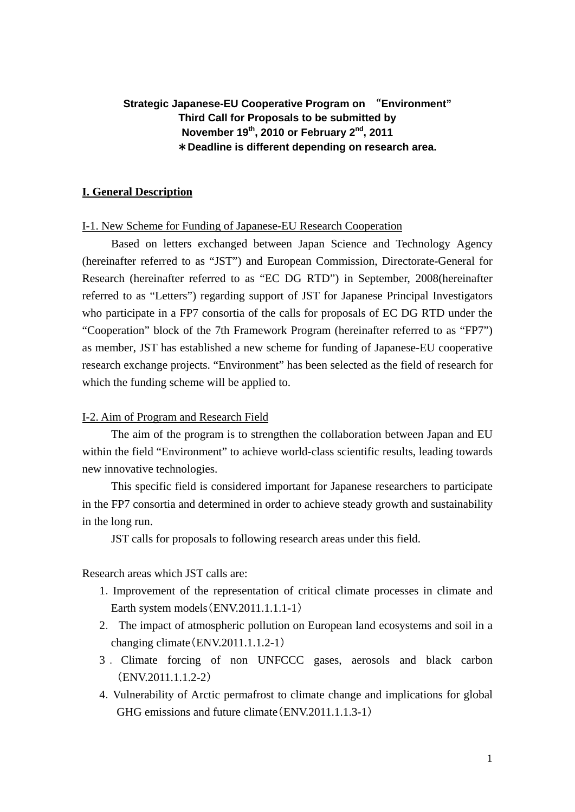## **Strategic Japanese-EU Cooperative Program on** "**Environment" Third Call for Proposals to be submitted by November 19th, 2010 or February 2nd, 2011**  \***Deadline is different depending on research area.**

## **I. General Description**

## I-1. New Scheme for Funding of Japanese-EU Research Cooperation

Based on letters exchanged between Japan Science and Technology Agency (hereinafter referred to as "JST") and European Commission, Directorate-General for Research (hereinafter referred to as "EC DG RTD") in September, 2008(hereinafter referred to as "Letters") regarding support of JST for Japanese Principal Investigators who participate in a FP7 consortia of the calls for proposals of EC DG RTD under the "Cooperation" block of the 7th Framework Program (hereinafter referred to as "FP7") as member, JST has established a new scheme for funding of Japanese-EU cooperative research exchange projects. "Environment" has been selected as the field of research for which the funding scheme will be applied to.

### I-2. Aim of Program and Research Field

The aim of the program is to strengthen the collaboration between Japan and EU within the field "Environment" to achieve world-class scientific results, leading towards new innovative technologies.

This specific field is considered important for Japanese researchers to participate in the FP7 consortia and determined in order to achieve steady growth and sustainability in the long run.

JST calls for proposals to following research areas under this field.

Research areas which JST calls are:

- 1.Improvement of the representation of critical climate processes in climate and Earth system models(ENV.2011.1.1.1-1)
- 2. The impact of atmospheric pollution on European land ecosystems and soil in a changing climate(ENV.2011.1.1.2-1)
- 3 . Climate forcing of non UNFCCC gases, aerosols and black carbon (ENV.2011.1.1.2-2)
- 4.Vulnerability of Arctic permafrost to climate change and implications for global GHG emissions and future climate(ENV.2011.1.1.3-1)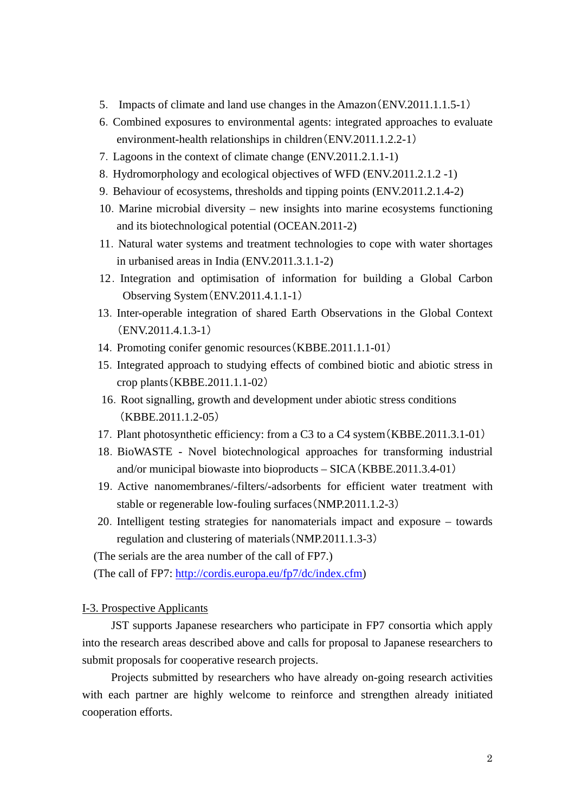- 5. Impacts of climate and land use changes in the Amazon(ENV.2011.1.1.5-1)
- 6.Combined exposures to environmental agents: integrated approaches to evaluate environment-health relationships in children(ENV.2011.1.2.2-1)
- 7.Lagoons in the context of climate change (ENV.2011.2.1.1-1)
- 8.Hydromorphology and ecological objectives of WFD (ENV.2011.2.1.2 -1)
- 9.Behaviour of ecosystems, thresholds and tipping points (ENV.2011.2.1.4-2)
- 10.Marine microbial diversity new insights into marine ecosystems functioning and its biotechnological potential (OCEAN.2011-2)
- 11.Natural water systems and treatment technologies to cope with water shortages in urbanised areas in India (ENV.2011.3.1.1-2)
- 12.Integration and optimisation of information for building a Global Carbon Observing System(ENV.2011.4.1.1-1)
- 13.Inter-operable integration of shared Earth Observations in the Global Context (ENV.2011.4.1.3-1)
- 14.Promoting conifer genomic resources(KBBE.2011.1.1-01)
- 15.Integrated approach to studying effects of combined biotic and abiotic stress in crop plants(KBBE.2011.1.1-02)
- 16.Root signalling, growth and development under abiotic stress conditions (KBBE.2011.1.2-05)
- 17.Plant photosynthetic efficiency: from a C3 to a C4 system(KBBE.2011.3.1-01)
- 18.BioWASTE Novel biotechnological approaches for transforming industrial and/or municipal biowaste into bioproducts – SICA(KBBE.2011.3.4-01)
- 19.Active nanomembranes/-filters/-adsorbents for efficient water treatment with stable or regenerable low-fouling surfaces(NMP.2011.1.2-3)
- 20.Intelligent testing strategies for nanomaterials impact and exposure towards regulation and clustering of materials(NMP.2011.1.3-3)

(The serials are the area number of the call of FP7.)

(The call of FP7: <http://cordis.europa.eu/fp7/dc/index.cfm>)

## I-3. Prospective Applicants

JST supports Japanese researchers who participate in FP7 consortia which apply into the research areas described above and calls for proposal to Japanese researchers to submit proposals for cooperative research projects.

Projects submitted by researchers who have already on-going research activities with each partner are highly welcome to reinforce and strengthen already initiated cooperation efforts.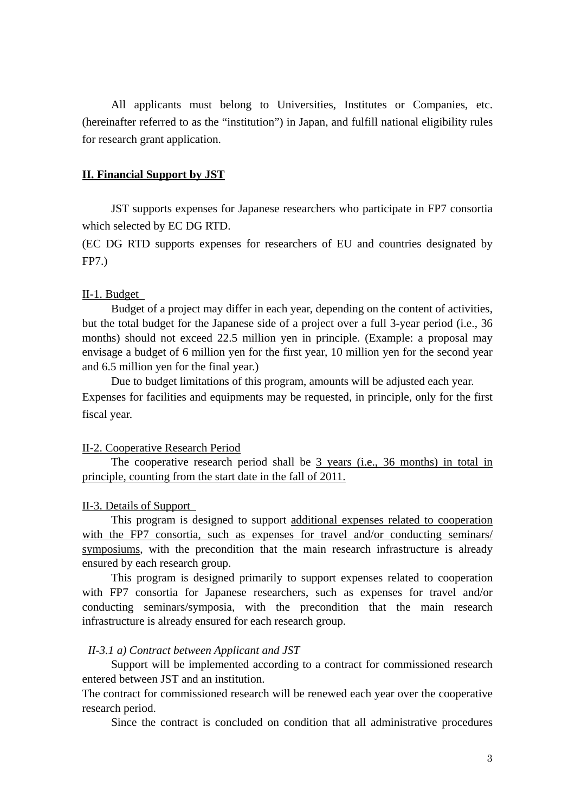All applicants must belong to Universities, Institutes or Companies, etc. (hereinafter referred to as the "institution") in Japan, and fulfill national eligibility rules for research grant application.

## **II. Financial Support by JST**

JST supports expenses for Japanese researchers who participate in FP7 consortia which selected by EC DG RTD.

(EC DG RTD supports expenses for researchers of EU and countries designated by FP7.)

## II-1. Budget

Budget of a project may differ in each year, depending on the content of activities, but the total budget for the Japanese side of a project over a full 3-year period (i.e., 36 months) should not exceed 22.5 million yen in principle. (Example: a proposal may envisage a budget of 6 million yen for the first year, 10 million yen for the second year and 6.5 million yen for the final year.)

Due to budget limitations of this program, amounts will be adjusted each year. Expenses for facilities and equipments may be requested, in principle, only for the first fiscal year.

## II-2. Cooperative Research Period

The cooperative research period shall be 3 years (i.e., 36 months) in total in principle, counting from the start date in the fall of 2011.

## II-3. Details of Support

This program is designed to support additional expenses related to cooperation with the FP7 consortia, such as expenses for travel and/or conducting seminars/ symposiums, with the precondition that the main research infrastructure is already ensured by each research group.

This program is designed primarily to support expenses related to cooperation with FP7 consortia for Japanese researchers, such as expenses for travel and/or conducting seminars/symposia, with the precondition that the main research infrastructure is already ensured for each research group.

### *II-3.1 a) Contract between Applicant and JST*

Support will be implemented according to a contract for commissioned research entered between JST and an institution.

The contract for commissioned research will be renewed each year over the cooperative research period.

Since the contract is concluded on condition that all administrative procedures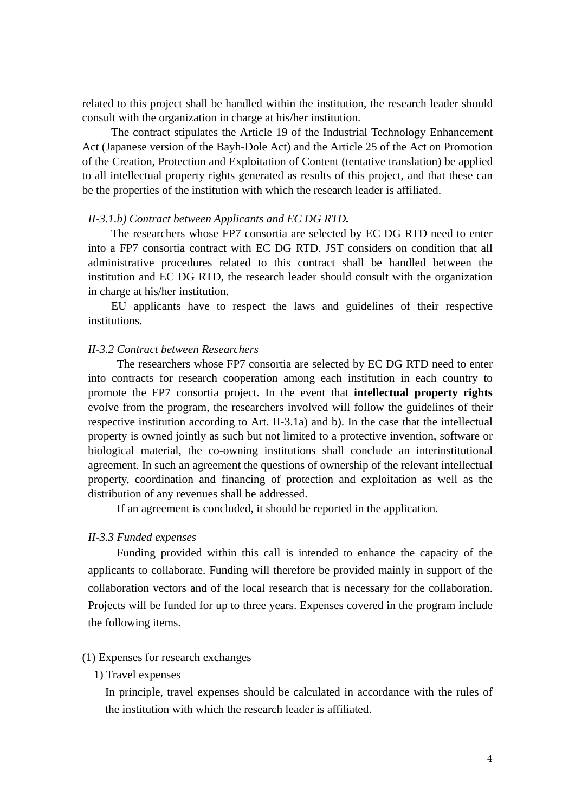related to this project shall be handled within the institution, the research leader should consult with the organization in charge at his/her institution.

The contract stipulates the Article 19 of the Industrial Technology Enhancement Act (Japanese version of the Bayh-Dole Act) and the Article 25 of the Act on Promotion of the Creation, Protection and Exploitation of Content (tentative translation) be applied to all intellectual property rights generated as results of this project, and that these can be the properties of the institution with which the research leader is affiliated.

## *II-3.1.b) Contract between Applicants and EC DG RTD.*

The researchers whose FP7 consortia are selected by EC DG RTD need to enter into a FP7 consortia contract with EC DG RTD. JST considers on condition that all administrative procedures related to this contract shall be handled between the institution and EC DG RTD, the research leader should consult with the organization in charge at his/her institution.

EU applicants have to respect the laws and guidelines of their respective institutions.

## *II-3.2 Contract between Researchers*

The researchers whose FP7 consortia are selected by EC DG RTD need to enter into contracts for research cooperation among each institution in each country to promote the FP7 consortia project. In the event that **intellectual property rights** evolve from the program, the researchers involved will follow the guidelines of their respective institution according to Art. II-3.1a) and b). In the case that the intellectual property is owned jointly as such but not limited to a protective invention, software or biological material, the co-owning institutions shall conclude an interinstitutional agreement. In such an agreement the questions of ownership of the relevant intellectual property, coordination and financing of protection and exploitation as well as the distribution of any revenues shall be addressed.

If an agreement is concluded, it should be reported in the application.

#### *II-3.3 Funded expenses*

Funding provided within this call is intended to enhance the capacity of the applicants to collaborate. Funding will therefore be provided mainly in support of the collaboration vectors and of the local research that is necessary for the collaboration. Projects will be funded for up to three years. Expenses covered in the program include the following items.

#### (1) Expenses for research exchanges

## 1) Travel expenses

In principle, travel expenses should be calculated in accordance with the rules of the institution with which the research leader is affiliated.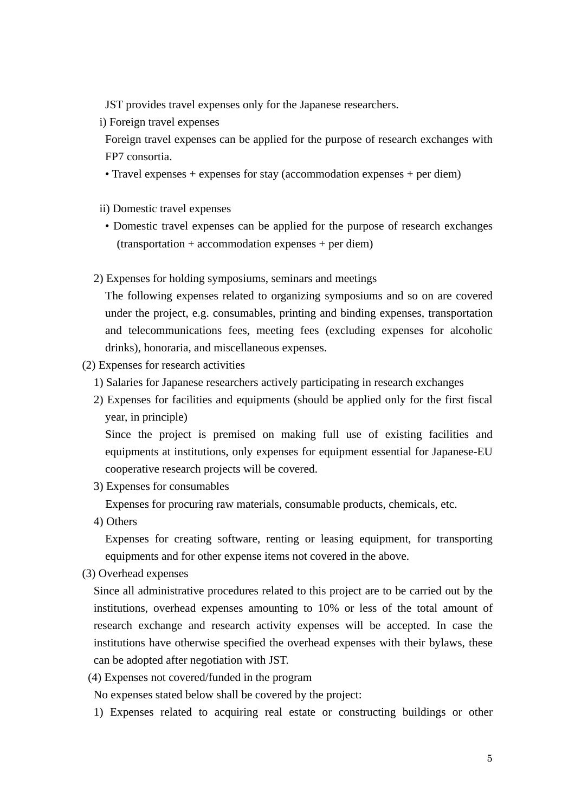JST provides travel expenses only for the Japanese researchers.

i) Foreign travel expenses

Foreign travel expenses can be applied for the purpose of research exchanges with FP7 consortia.

- Travel expenses + expenses for stay (accommodation expenses + per diem)
- ii) Domestic travel expenses
- Domestic travel expenses can be applied for the purpose of research exchanges (transportation + accommodation expenses + per diem)
- 2) Expenses for holding symposiums, seminars and meetings

The following expenses related to organizing symposiums and so on are covered under the project, e.g. consumables, printing and binding expenses, transportation and telecommunications fees, meeting fees (excluding expenses for alcoholic drinks), honoraria, and miscellaneous expenses.

- (2) Expenses for research activities
	- 1) Salaries for Japanese researchers actively participating in research exchanges
	- 2) Expenses for facilities and equipments (should be applied only for the first fiscal year, in principle)

Since the project is premised on making full use of existing facilities and equipments at institutions, only expenses for equipment essential for Japanese-EU cooperative research projects will be covered.

3) Expenses for consumables

Expenses for procuring raw materials, consumable products, chemicals, etc.

4) Others

Expenses for creating software, renting or leasing equipment, for transporting equipments and for other expense items not covered in the above.

(3) Overhead expenses

Since all administrative procedures related to this project are to be carried out by the institutions, overhead expenses amounting to 10% or less of the total amount of research exchange and research activity expenses will be accepted. In case the institutions have otherwise specified the overhead expenses with their bylaws, these can be adopted after negotiation with JST.

(4) Expenses not covered/funded in the program

No expenses stated below shall be covered by the project:

1) Expenses related to acquiring real estate or constructing buildings or other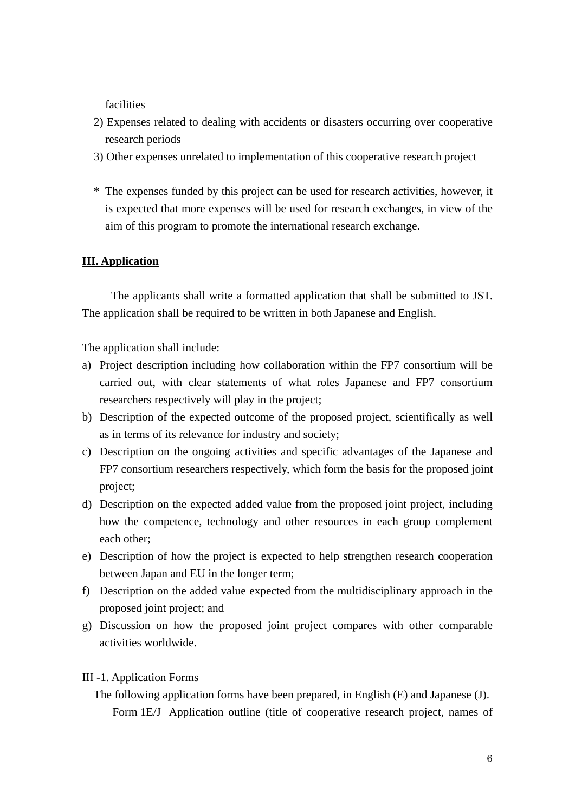facilities

- 2) Expenses related to dealing with accidents or disasters occurring over cooperative research periods
- 3) Other expenses unrelated to implementation of this cooperative research project
- \* The expenses funded by this project can be used for research activities, however, it is expected that more expenses will be used for research exchanges, in view of the aim of this program to promote the international research exchange.

## **III. Application**

The applicants shall write a formatted application that shall be submitted to JST. The application shall be required to be written in both Japanese and English.

The application shall include:

- a) Project description including how collaboration within the FP7 consortium will be carried out, with clear statements of what roles Japanese and FP7 consortium researchers respectively will play in the project;
- b) Description of the expected outcome of the proposed project, scientifically as well as in terms of its relevance for industry and society;
- c) Description on the ongoing activities and specific advantages of the Japanese and FP7 consortium researchers respectively, which form the basis for the proposed joint project;
- d) Description on the expected added value from the proposed joint project, including how the competence, technology and other resources in each group complement each other;
- e) Description of how the project is expected to help strengthen research cooperation between Japan and EU in the longer term;
- f) Description on the added value expected from the multidisciplinary approach in the proposed joint project; and
- g) Discussion on how the proposed joint project compares with other comparable activities worldwide.

## III -1. Application Forms

The following application forms have been prepared, in English (E) and Japanese (J). Form 1E/J Application outline (title of cooperative research project, names of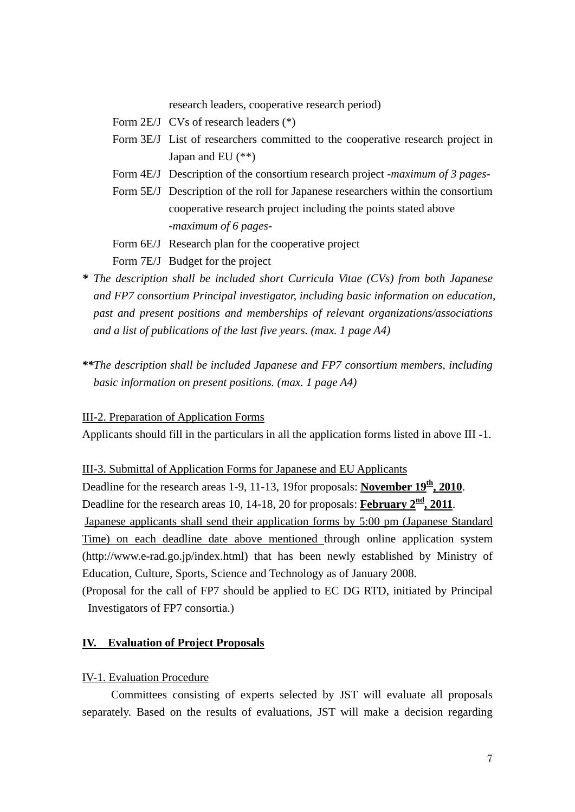research leaders, cooperative research period)

- Form 2E/J CVs of research leaders (\*)
- Form 3E/J List of researchers committed to the cooperative research project in Japan and EU (\*\*)
- Form 4E/J Description of the consortium research project *-maximum of 3 pages-*
- Form 5E/J Description of the roll for Japanese researchers within the consortium cooperative research project including the points stated above *-maximum of 6 pages-*
- Form 6E/J Research plan for the cooperative project
- Form 7E/J Budget for the project
- *\* The description shall be included short Curricula Vitae (CVs) from both Japanese and FP7 consortium Principal investigator, including basic information on education, past and present positions and memberships of relevant organizations/associations and a list of publications of the last five years. (max. 1 page A4)*
- *\*\*The description shall be included Japanese and FP7 consortium members, including basic information on present positions. (max. 1 page A4)*

III-2. Preparation of Application Forms

Applicants should fill in the particulars in all the application forms listed in above III -1.

III-3. Submittal of Application Forms for Japanese and EU Applicants

Deadline for the research areas 1-9, 11-13, 19for proposals: **November 19<sup>th</sup>, 2010**.

Deadline for the research areas 10, 14-18, 20 for proposals: **February**  $2^{\frac{nd}{n}}$ **, 2011**.

Japanese applicants shall send their application forms by 5:00 pm (Japanese Standard Time) on each deadline date above mentioned through online application system (http://www.e-rad.go.jp/index.html) that has been newly established by Ministry of Education, Culture, Sports, Science and Technology as of January 2008.

(Proposal for the call of FP7 should be applied to EC DG RTD, initiated by Principal Investigators of FP7 consortia.)

## **IV. Evaluation of Project Proposals**

## IV-1. Evaluation Procedure

Committees consisting of experts selected by JST will evaluate all proposals separately. Based on the results of evaluations, JST will make a decision regarding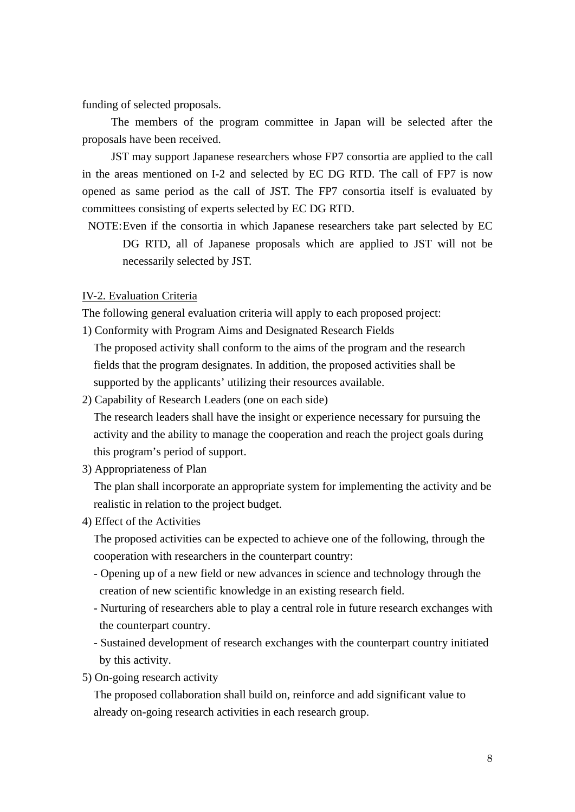funding of selected proposals.

The members of the program committee in Japan will be selected after the proposals have been received.

JST may support Japanese researchers whose FP7 consortia are applied to the call in the areas mentioned on I-2 and selected by EC DG RTD. The call of FP7 is now opened as same period as the call of JST. The FP7 consortia itself is evaluated by committees consisting of experts selected by EC DG RTD.

NOTE: Even if the consortia in which Japanese researchers take part selected by EC DG RTD, all of Japanese proposals which are applied to JST will not be necessarily selected by JST.

## IV-2. Evaluation Criteria

The following general evaluation criteria will apply to each proposed project:

- 1) Conformity with Program Aims and Designated Research Fields The proposed activity shall conform to the aims of the program and the research fields that the program designates. In addition, the proposed activities shall be supported by the applicants' utilizing their resources available.
- 2) Capability of Research Leaders (one on each side)

The research leaders shall have the insight or experience necessary for pursuing the activity and the ability to manage the cooperation and reach the project goals during this program's period of support.

3) Appropriateness of Plan

The plan shall incorporate an appropriate system for implementing the activity and be realistic in relation to the project budget.

4) Effect of the Activities

The proposed activities can be expected to achieve one of the following, through the cooperation with researchers in the counterpart country:

- Opening up of a new field or new advances in science and technology through the creation of new scientific knowledge in an existing research field.
- Nurturing of researchers able to play a central role in future research exchanges with the counterpart country.
- Sustained development of research exchanges with the counterpart country initiated by this activity.
- 5) On-going research activity

The proposed collaboration shall build on, reinforce and add significant value to already on-going research activities in each research group.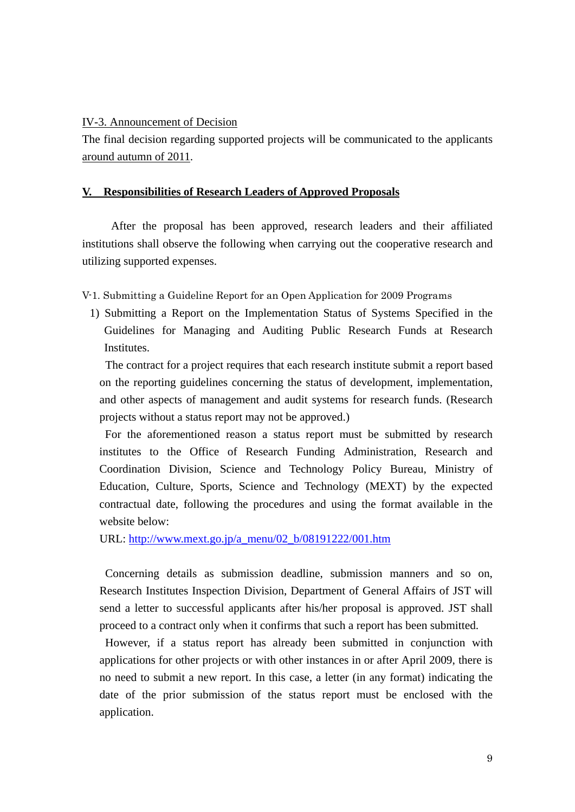## IV-3. Announcement of Decision

The final decision regarding supported projects will be communicated to the applicants around autumn of 2011.

## **V. Responsibilities of Research Leaders of Approved Proposals**

After the proposal has been approved, research leaders and their affiliated institutions shall observe the following when carrying out the cooperative research and utilizing supported expenses.

V-1. Submitting a Guideline Report for an Open Application for 2009 Programs

1) Submitting a Report on the Implementation Status of Systems Specified in the Guidelines for Managing and Auditing Public Research Funds at Research **Institutes.** 

 The contract for a project requires that each research institute submit a report based on the reporting guidelines concerning the status of development, implementation, and other aspects of management and audit systems for research funds. (Research projects without a status report may not be approved.)

For the aforementioned reason a status report must be submitted by research institutes to the Office of Research Funding Administration, Research and Coordination Division, Science and Technology Policy Bureau, Ministry of Education, Culture, Sports, Science and Technology (MEXT) by the expected contractual date, following the procedures and using the format available in the website below:

URL: [http://www.mext.go.jp/a\\_menu/02\\_b/08191222/001.htm](http://www.mext.go.jp/a_menu/02_b/08191222/001.htm)

Concerning details as submission deadline, submission manners and so on, Research Institutes Inspection Division, Department of General Affairs of JST will send a letter to successful applicants after his/her proposal is approved. JST shall proceed to a contract only when it confirms that such a report has been submitted.

However, if a status report has already been submitted in conjunction with applications for other projects or with other instances in or after April 2009, there is no need to submit a new report. In this case, a letter (in any format) indicating the date of the prior submission of the status report must be enclosed with the application.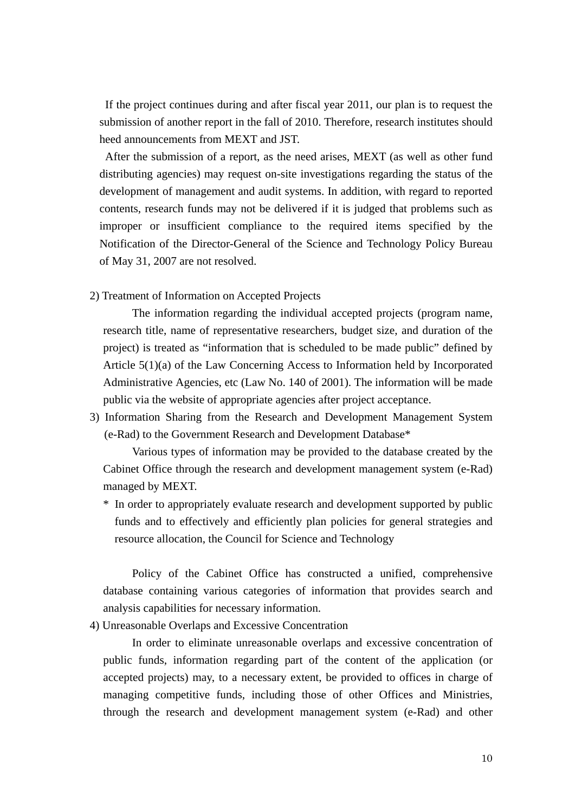If the project continues during and after fiscal year 2011, our plan is to request the submission of another report in the fall of 2010. Therefore, research institutes should heed announcements from MEXT and JST.

After the submission of a report, as the need arises, MEXT (as well as other fund distributing agencies) may request on-site investigations regarding the status of the development of management and audit systems. In addition, with regard to reported contents, research funds may not be delivered if it is judged that problems such as improper or insufficient compliance to the required items specified by the Notification of the Director-General of the Science and Technology Policy Bureau of May 31, 2007 are not resolved.

2) Treatment of Information on Accepted Projects

The information regarding the individual accepted projects (program name, research title, name of representative researchers, budget size, and duration of the project) is treated as "information that is scheduled to be made public" defined by Article 5(1)(a) of the Law Concerning Access to Information held by Incorporated Administrative Agencies, etc (Law No. 140 of 2001). The information will be made public via the website of appropriate agencies after project acceptance.

3) Information Sharing from the Research and Development Management System (e-Rad) to the Government Research and Development Database\*

Various types of information may be provided to the database created by the Cabinet Office through the research and development management system (e-Rad) managed by MEXT.

\* In order to appropriately evaluate research and development supported by public funds and to effectively and efficiently plan policies for general strategies and resource allocation, the Council for Science and Technology

Policy of the Cabinet Office has constructed a unified, comprehensive database containing various categories of information that provides search and analysis capabilities for necessary information.

4) Unreasonable Overlaps and Excessive Concentration

In order to eliminate unreasonable overlaps and excessive concentration of public funds, information regarding part of the content of the application (or accepted projects) may, to a necessary extent, be provided to offices in charge of managing competitive funds, including those of other Offices and Ministries, through the research and development management system (e-Rad) and other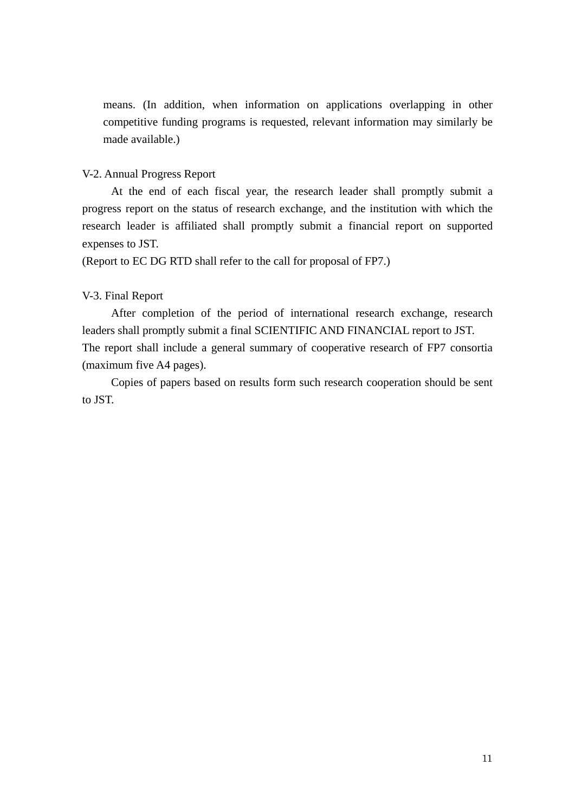means. (In addition, when information on applications overlapping in other competitive funding programs is requested, relevant information may similarly be made available.)

## V-2. Annual Progress Report

At the end of each fiscal year, the research leader shall promptly submit a progress report on the status of research exchange, and the institution with which the research leader is affiliated shall promptly submit a financial report on supported expenses to JST.

(Report to EC DG RTD shall refer to the call for proposal of FP7.)

## V-3. Final Report

After completion of the period of international research exchange, research leaders shall promptly submit a final SCIENTIFIC AND FINANCIAL report to JST. The report shall include a general summary of cooperative research of FP7 consortia (maximum five A4 pages).

Copies of papers based on results form such research cooperation should be sent to JST.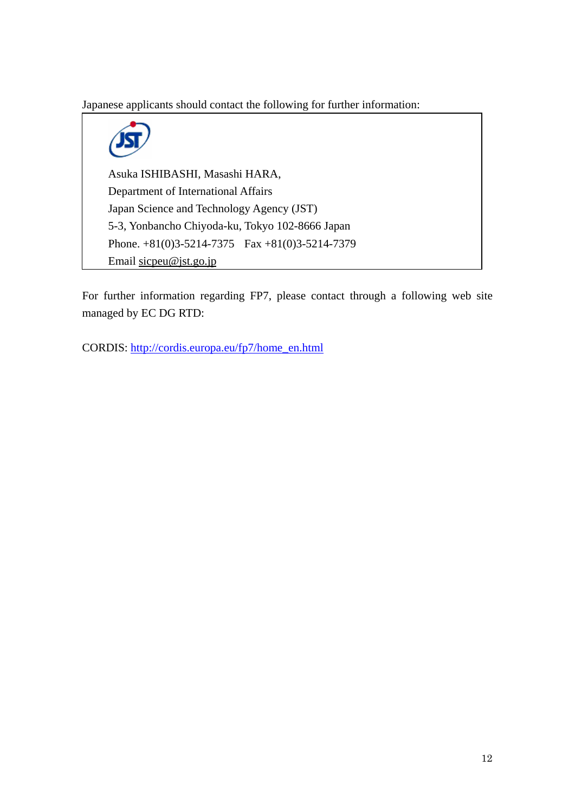Japanese applicants should contact the following for further information:

Asuka ISHIBASHI, Masashi HARA, Department of International Affairs Japan Science and Technology Agency (JST) 5-3, Yonbancho Chiyoda-ku, Tokyo 102-8666 Japan Phone. +81(0)3-5214-7375 Fax +81(0)3-5214-7379 Email [sicpeu@jst.go.jp](mailto:sicpse@jst.go.jp)

For further information regarding FP7, please contact through a following web site managed by EC DG RTD:

CORDIS: [http://cordis.europa.eu/fp7/home\\_en.html](http://cordis.europa.eu/fp7/home_en.html)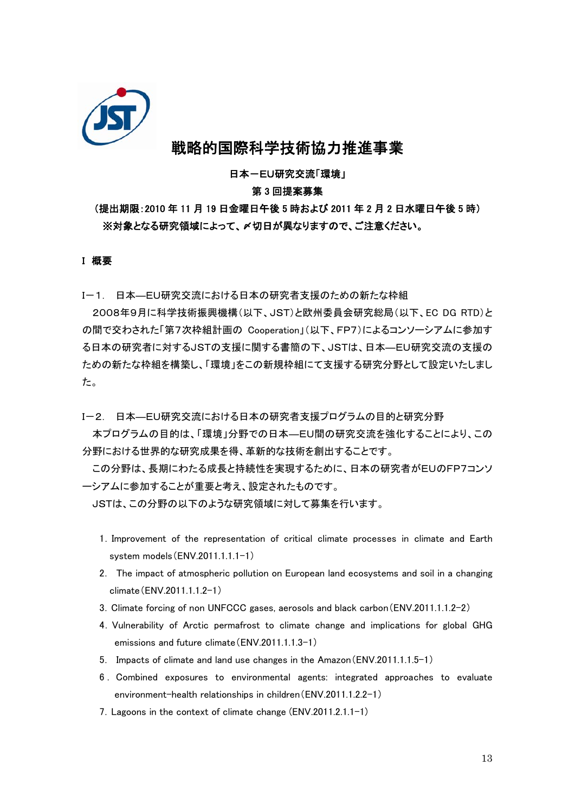

# 戦略的国際科学技術協力推進事業

日本-EU研究交流「環境」

## 第 3 回提案募集

## (提出期限:2010 年 11 月 19 日金曜日午後 5 時および 2011 年 2 月 2 日水曜日午後 5 時) ※対象となる研究領域によって、〆切日が異なりますので、ご注意ください。

#### I 概要

I-1. 日本―EU研究交流における日本の研究者支援のための新たな枠組

2008年9月に科学技術振興機構(以下、JST)と欧州委員会研究総局(以下、EC DG RTD)と の間で交わされた「第7次枠組計画の Cooperation」(以下、FP7)によるコンソーシアムに参加す る日本の研究者に対するJSTの支援に関する書簡の下、JSTは、日本―EU研究交流の支援の ための新たな枠組を構築し、「環境」をこの新規枠組にて支援する研究分野として設定いたしまし た。

I-2. 日本―EU研究交流における日本の研究者支援プログラムの目的と研究分野

本プログラムの目的は、「環境」分野での日本―EU間の研究交流を強化することにより、この 分野における世界的な研究成果を得、革新的な技術を創出することです。

この分野は、長期にわたる成長と持続性を実現するために、日本の研究者がEUのFP7コンソ ーシアムに参加することが重要と考え、設定されたものです。

JSTは、この分野の以下のような研究領域に対して募集を行います。

- 1.Improvement of the representation of critical climate processes in climate and Earth system models(ENV.2011.1.1.1-1)
- 2. The impact of atmospheric pollution on European land ecosystems and soil in a changing climate(ENV.2011.1.1.2-1)
- 3.Climate forcing of non UNFCCC gases, aerosols and black carbon(ENV.2011.1.1.2-2)
- 4.Vulnerability of Arctic permafrost to climate change and implications for global GHG emissions and future climate(ENV.2011.1.1.3-1)
- 5. Impacts of climate and land use changes in the Amazon(ENV.2011.1.1.5-1)
- 6 . Combined exposures to environmental agents: integrated approaches to evaluate environment-health relationships in children(ENV.2011.1.2.2-1)
- 7.Lagoons in the context of climate change (ENV.2011.2.1.1-1)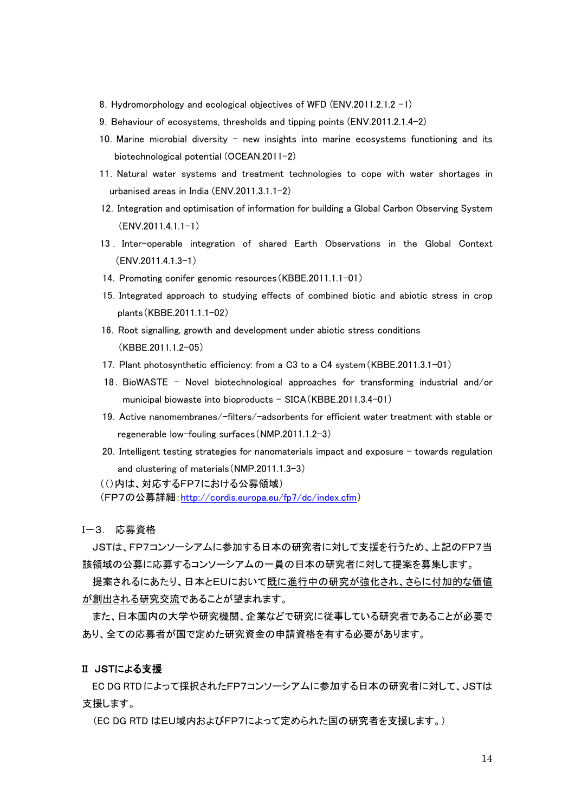- 8. Hydromorphology and ecological objectives of WFD (ENV.2011.2.1.2 -1)
- 9. Behaviour of ecosystems, thresholds and tipping points (ENV.2011.2.1.4-2)
- 10.Marine microbial diversity new insights into marine ecosystems functioning and its biotechnological potential (OCEAN.2011-2)
- 11.Natural water systems and treatment technologies to cope with water shortages in urbanised areas in India (ENV.2011.3.1.1-2)
- 12.Integration and optimisation of information for building a Global Carbon Observing System (ENV.2011.4.1.1-1)
- 13 . Inter-operable integration of shared Earth Observations in the Global Context  $(FNV.2011.41.3-1)$
- 14. Promoting conifer genomic resources (KBBE.2011.1.1-01)
- 15.Integrated approach to studying effects of combined biotic and abiotic stress in crop plants(KBBE.2011.1.1-02)
- 16.Root signalling, growth and development under abiotic stress conditions (KBBE.2011.1.2-05)
- 17.Plant photosynthetic efficiency: from a C3 to a C4 system(KBBE.2011.3.1-01)
- 18.BioWASTE Novel biotechnological approaches for transforming industrial and/or municipal biowaste into bioproducts – SICA(KBBE.2011.3.4-01)
- 19.Active nanomembranes/-filters/-adsorbents for efficient water treatment with stable or regenerable low-fouling surfaces(NMP.2011.1.2-3)
- 20.Intelligent testing strategies for nanomaterials impact and exposure towards regulation and clustering of materials(NMP.2011.1.3-3)
- (()内は、対応するFP7における公募領域)
- (FP7の公募詳細[:http://cordis.europa.eu/fp7/dc/index.cfm](http://cordis.europa.eu/fp7/dc/index.cfm))

I-3. 応募資格

JSTは、FP7コンソーシアムに参加する日本の研究者に対して支援を行うため、上記のFP7当 該領域の公募に応募するコンソーシアムの一員の日本の研究者に対して提案を募集します。

提案されるにあたり、日本とEUにおいて既に進行中の研究が強化され、さらに付加的な価値 が創出される研究交流であることが望まれます。

また、日本国内の大学や研究機関、企業などで研究に従事している研究者であることが必要で あり、全ての応募者が国で定めた研究資金の申請資格を有する必要があります。

#### II JSTによる支援

EC DG RTDによって採択されたFP7コンソーシアムに参加する日本の研究者に対して、JSTは 支援します。

(EC DG RTD はEU域内およびFP7によって定められた国の研究者を支援します。)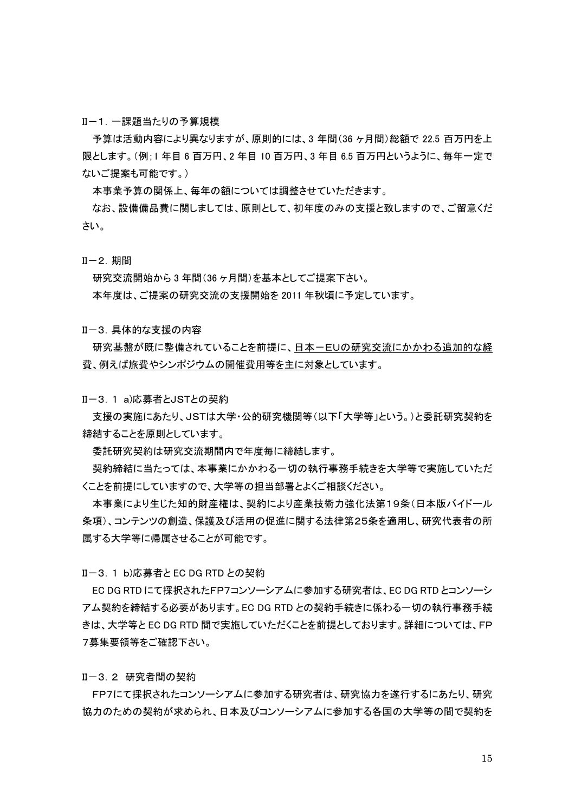II-1.一課題当たりの予算規模

予算は活動内容により異なりますが、原則的には、3 年間(36 ヶ月間)総額で 22.5 百万円を上 限とします。(例;1 年目 6 百万円、2 年目 10 百万円、3 年目 6.5 百万円というように、毎年一定で ないご提案も可能です。)

本事業予算の関係上、毎年の額については調整させていただきます。

なお、設備備品費に関しましては、原則として、初年度のみの支援と致しますので、ご留意くだ さい。

II-2.期間

研究交流開始から 3 年間(36 ヶ月間)を基本としてご提案下さい。 本年度は、ご提案の研究交流の支援開始を 2011 年秋頃に予定しています。

II-3.具体的な支援の内容

研究基盤が既に整備されていることを前提に、日本-EUの研究交流にかかわる追加的な経 費、例えば旅費やシンポジウムの開催費用等を主に対象としています。

II-3.1 a)応募者とJSTとの契約

支援の実施にあたり、JSTは大学・公的研究機関等(以下「大学等」という。)と委託研究契約を 締結することを原則としています。

委託研究契約は研究交流期間内で年度毎に締結します。

契約締結に当たっては、本事業にかかわる一切の執行事務手続きを大学等で実施していただ くことを前提にしていますので、大学等の担当部署とよくご相談ください。

本事業により生じた知的財産権は、契約により産業技術力強化法第19条(日本版バイドール 条項)、コンテンツの創造、保護及び活用の促進に関する法律第25条を適用し、研究代表者の所 属する大学等に帰属させることが可能です。

II-3.1 b)応募者と EC DG RTD との契約

EC DG RTD にて採択されたFP7コンソーシアムに参加する研究者は、EC DG RTD とコンソーシ アム契約を締結する必要があります。EC DG RTD との契約手続きに係わる一切の執行事務手続 きは、大学等と EC DG RTD 間で実施していただくことを前提としております。詳細については、FP 7募集要領等をご確認下さい。

II-3.2 研究者間の契約

FP7にて採択されたコンソーシアムに参加する研究者は、研究協力を遂行するにあたり、研究 協力のための契約が求められ、日本及びコンソーシアムに参加する各国の大学等の間で契約を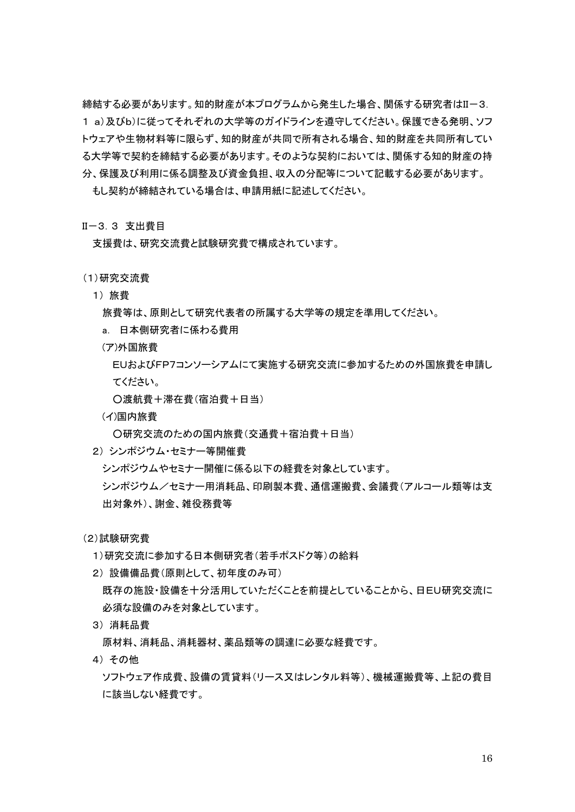締結する必要があります。知的財産が本プログラムから発生した場合、関係する研究者はII-3. 1 a)及びb)に従ってそれぞれの大学等のガイドラインを遵守してください。保護できる発明、ソフ トウェアや生物材料等に限らず、知的財産が共同で所有される場合、知的財産を共同所有してい る大学等で契約を締結する必要があります。そのような契約においては、関係する知的財産の持 分、保護及び利用に係る調整及び資金負担、収入の分配等について記載する必要があります。 もし契約が締結されている場合は、申請用紙に記述してください。

#### II-3.3 支出費目

支援費は、研究交流費と試験研究費で構成されています。

- (1)研究交流費
	- 1) 旅費

旅費等は、原則として研究代表者の所属する大学等の規定を準用してください。

- a. 日本側研究者に係わる費用
- (ア)外国旅費

EUおよびFP7コンソーシアムにて実施する研究交流に参加するための外国旅費を申請し てください。

○渡航費+滞在費(宿泊費+日当)

(イ)国内旅費

○研究交流のための国内旅費(交通費+宿泊費+日当)

2) シンポジウム・セミナー等開催費

シンポジウムやセミナー開催に係る以下の経費を対象としています。

シンポジウム/セミナー用消耗品、印刷製本費、通信運搬費、会議費(アルコール類等は支 出対象外)、謝金、雑役務費等

(2)試験研究費

- 1)研究交流に参加する日本側研究者(若手ポスドク等)の給料
- 2) 設備備品費(原則として、初年度のみ可) 既存の施設・設備を十分活用していただくことを前提としていることから、日EU研究交流に 必須な設備のみを対象としています。
- 3) 消耗品費

原材料、消耗品、消耗器材、薬品類等の調達に必要な経費です。

4) その他

ソフトウェア作成費、設備の賃貸料(リース又はレンタル料等)、機械運搬費等、上記の費目 に該当しない経費です。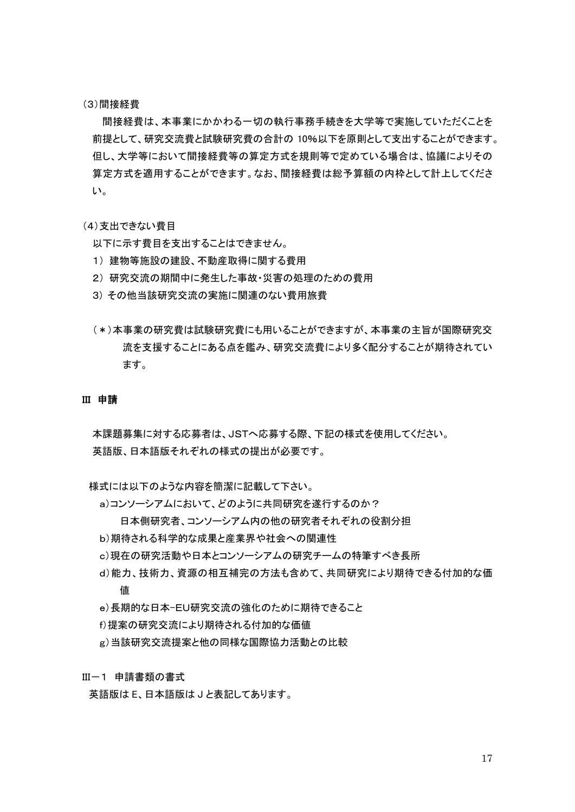#### (3)間接経費

間接経費は、本事業にかかわる一切の執行事務手続きを大学等で実施していただくことを 前提として、研究交流費と試験研究費の合計の 10%以下を原則として支出することができます。 但し、大学等において間接経費等の算定方式を規則等で定めている場合は、協議によりその 算定方式を適用することができます。なお、間接経費は総予算額の内枠として計上してくださ い。

### (4)支出できない費目

以下に示す費目を支出することはできません。

- 1) 建物等施設の建設、不動産取得に関する費用
- 2) 研究交流の期間中に発生した事故・災害の処理のための費用
- 3) その他当該研究交流の実施に関連のない費用旅費
- (\*)本事業の研究費は試験研究費にも用いることができますが、本事業の主旨が国際研究交 流を支援することにある点を鑑み、研究交流費により多く配分することが期待されてい ます。

#### III 申請

本課題募集に対する応募者は、JSTへ応募する際、下記の様式を使用してください。 英語版、日本語版それぞれの様式の提出が必要です。

様式には以下のような内容を簡潔に記載して下さい。

- a)コンソーシアムにおいて、どのように共同研究を遂行するのか?
	- 日本側研究者、コンソーシアム内の他の研究者それぞれの役割分担
- b)期待される科学的な成果と産業界や社会への関連性
- c)現在の研究活動や日本とコンソーシアムの研究チームの特筆すべき長所
- d)能力、技術力、資源の相互補完の方法も含めて、共同研究により期待できる付加的な価 値
- e)長期的な日本-EU研究交流の強化のために期待できること
- f)提案の研究交流により期待される付加的な価値
- g)当該研究交流提案と他の同様な国際協力活動との比較

III-1 申請書類の書式

英語版は E、日本語版は J と表記してあります。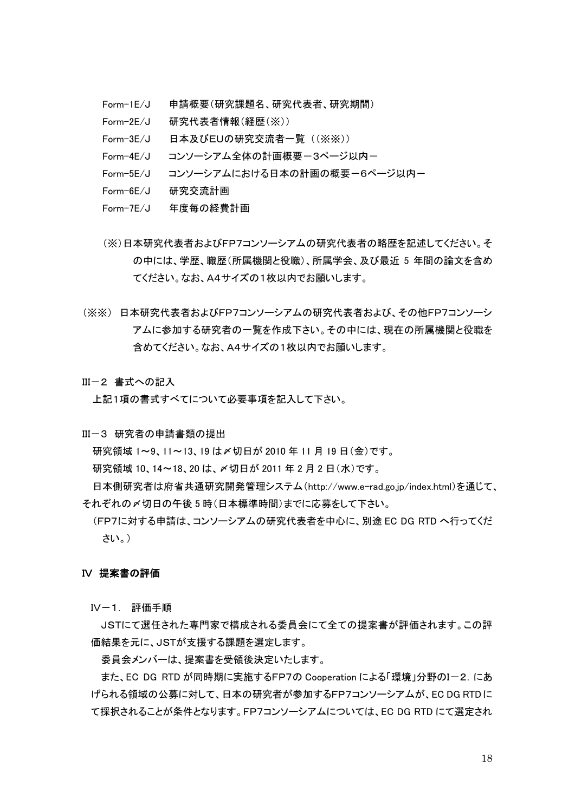- Form-1E/J 申請概要(研究課題名、研究代表者、研究期間)
- Form-2E/J 研究代表者情報(経歴(※))
- Form-3E/J 日本及びEUの研究交流者一覧 ((※※))
- Form-4E/J コンソーシアム全体の計画概要ー3ページ以内ー
- Form-5E/J コンソーシアムにおける日本の計画の概要ー6ページ以内ー
- Form-6E/J 研究交流計画
- Form-7E/J 年度毎の経費計画
- (※)日本研究代表者およびFP7コンソーシアムの研究代表者の略歴を記述してください。そ の中には、学歴、職歴(所属機関と役職)、所属学会、及び最近 5 年間の論文を含め てください。なお、A4サイズの1枚以内でお願いします。
- (※※) 日本研究代表者およびFP7コンソーシアムの研究代表者および、その他FP7コンソーシ アムに参加する研究者の一覧を作成下さい。その中には、現在の所属機関と役職を 含めてください。なお、A4サイズの1枚以内でお願いします。
- III-2 書式への記入

上記1項の書式すべてについて必要事項を記入して下さい。

III-3 研究者の申請書類の提出

研究領域 1~9、11~13、19 は〆切日が 2010 年 11 月 19 日(金)です。

研究領域 10、14~18、20 は、〆切日が 2011 年 2 月 2 日(水)です。

日本側研究者は府省共通研究開発管理システム(http://www.e-rad.go.jp/index.html)を通じて、 それぞれの〆切日の午後 5 時(日本標準時間)までに応募をして下さい。

(FP7に対する申請は、コンソーシアムの研究代表者を中心に、別途 EC DG RTD へ行ってくだ さい。)

#### IV 提案書の評価

IV-1. 評価手順

JSTにて選任された専門家で構成される委員会にて全ての提案書が評価されます。この評 価結果を元に、JSTが支援する課題を選定します。

委員会メンバーは、提案書を受領後決定いたします。

また、EC DG RTD が同時期に実施するFP7の Cooperation による「環境」分野のIー2. にあ げられる領域の公募に対して、日本の研究者が参加するFP7コンソーシアムが、EC DG RTDに て採択されることが条件となります。FP7コンソーシアムについては、EC DG RTD にて選定され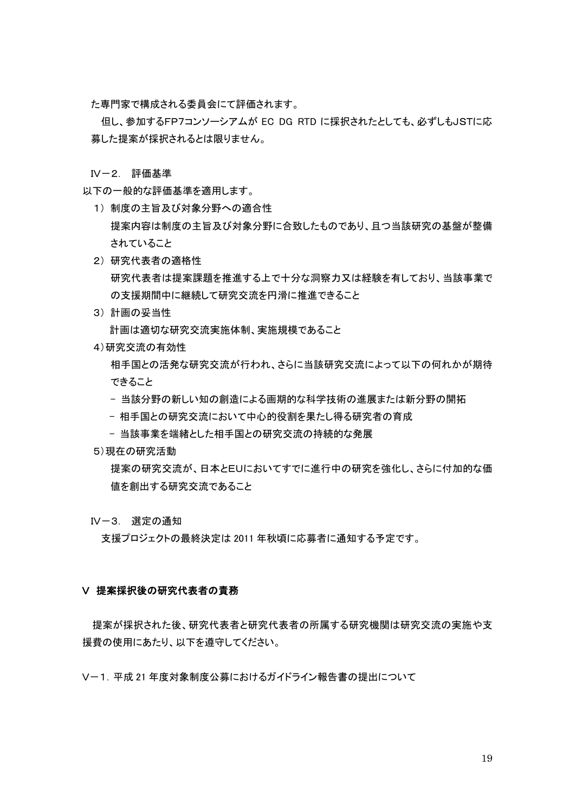た専門家で構成される委員会にて評価されます。

但し、参加するFP7コンソーシアムが EC DG RTD に採択されたとしても、必ずしもJSTに応 募した提案が採択されるとは限りません。

IV-2. 評価基準

以下の一般的な評価基準を適用します。

- 1) 制度の主旨及び対象分野への適合性 提案内容は制度の主旨及び対象分野に合致したものであり、且つ当該研究の基盤が整備 されていること
- 2) 研究代表者の適格性 研究代表者は提案課題を推進する上で十分な洞察力又は経験を有しており、当該事業で の支援期間中に継続して研究交流を円滑に推進できること
- 3) 計画の妥当性 計画は適切な研究交流実施体制、実施規模であること
- 4)研究交流の有効性

相手国との活発な研究交流が行われ、さらに当該研究交流によって以下の何れかが期待 できること

- 当該分野の新しい知の創造による画期的な科学技術の進展または新分野の開拓
- 相手国との研究交流において中心的役割を果たし得る研究者の育成
- 当該事業を端緒とした相手国との研究交流の持続的な発展
- 5)現在の研究活動

提案の研究交流が、日本とEUにおいてすでに進行中の研究を強化し、さらに付加的な価 値を創出する研究交流であること

IV-3. 選定の通知

支援プロジェクトの最終決定は 2011 年秋頃に応募者に通知する予定です。

#### V 提案採択後の研究代表者の責務

提案が採択された後、研究代表者と研究代表者の所属する研究機関は研究交流の実施や支 援費の使用にあたり、以下を遵守してください。

V-1.平成 21 年度対象制度公募におけるガイドライン報告書の提出について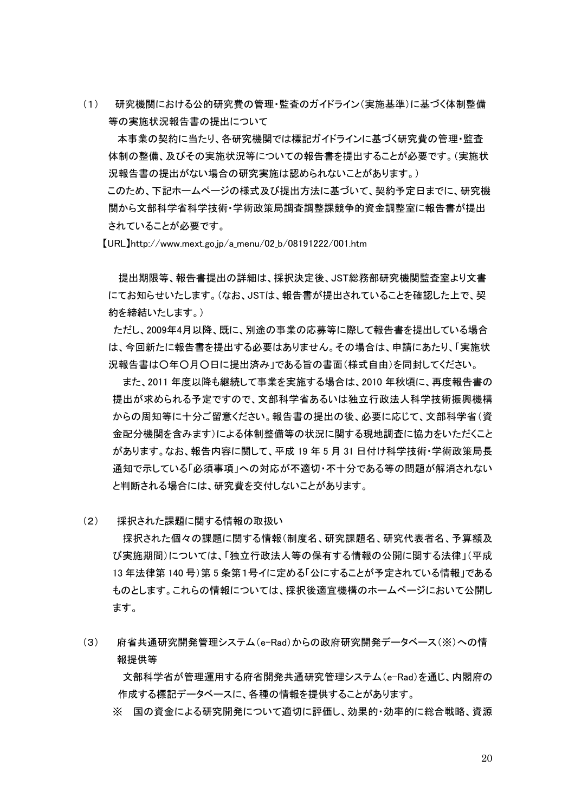(1) 研究機関における公的研究費の管理・監査のガイドライン(実施基準)に基づく体制整備 等の実施状況報告書の提出について

本事業の契約に当たり、各研究機関では標記ガイドラインに基づく研究費の管理・監査 体制の整備、及びその実施状況等についての報告書を提出することが必要です。(実施状 況報告書の提出がない場合の研究実施は認められないことがあります。)

このため、下記ホームページの様式及び提出方法に基づいて、契約予定日までに、研究機 関から文部科学省科学技術・学術政策局調査調整課競争的資金調整室に報告書が提出 されていることが必要です。

【URL】[http://www.mext.go.jp/a\\_menu/02\\_b/08191222/001.htm](http://www.mext.go.jp/a_menu/02_b/08191222/001.htm)

提出期限等、報告書提出の詳細は、採択決定後、JST総務部研究機関監査室より文書 にてお知らせいたします。(なお、JSTは、報告書が提出されていることを確認した上で、契 約を締結いたします。)

ただし、2009年4月以降、既に、別途の事業の応募等に際して報告書を提出している場合 は、今回新たに報告書を提出する必要はありません。その場合は、申請にあたり、「実施状 況報告書は○年○月○日に提出済み」である旨の書面(様式自由)を同封してください。

また、2011 年度以降も継続して事業を実施する場合は、2010 年秋頃に、再度報告書の 提出が求められる予定ですので、文部科学省あるいは独立行政法人科学技術振興機構 からの周知等に十分ご留意ください。報告書の提出の後、必要に応じて、文部科学省(資 金配分機関を含みます)による体制整備等の状況に関する現地調査に協力をいただくこと があります。なお、報告内容に関して、平成 19 年 5 月 31 日付け科学技術・学術政策局長 通知で示している「必須事項」への対応が不適切・不十分である等の問題が解消されない と判断される場合には、研究費を交付しないことがあります。

(2) 採択された課題に関する情報の取扱い

採択された個々の課題に関する情報(制度名、研究課題名、研究代表者名、予算額及 び実施期間)については、「独立行政法人等の保有する情報の公開に関する法律」(平成 13 年法律第 140 号)第 5 条第1号イに定める「公にすることが予定されている情報」である ものとします。これらの情報については、採択後適宜機構のホームページにおいて公開し ます。

(3) 府省共通研究開発管理システム(e-Rad)からの政府研究開発データベース(※)への情 報提供等

文部科学省が管理運用する府省開発共通研究管理システム(e-Rad)を通じ、内閣府の 作成する標記データベースに、各種の情報を提供することがあります。

※ 国の資金による研究開発について適切に評価し、効果的・効率的に総合戦略、資源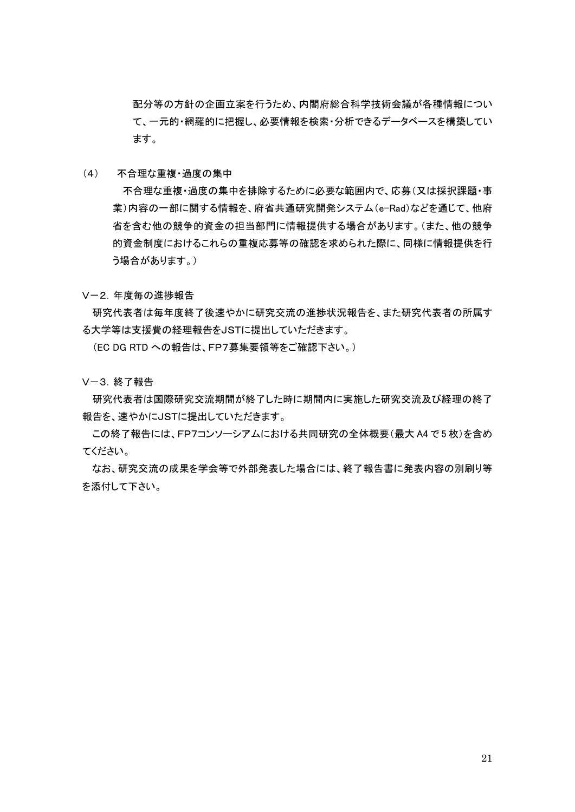配分等の方針の企画立案を行うため、内閣府総合科学技術会議が各種情報につい て、一元的・網羅的に把握し、必要情報を検索・分析できるデータベースを構築してい ます。

(4) 不合理な重複・過度の集中

不合理な重複・過度の集中を排除するために必要な範囲内で、応募(又は採択課題・事 業)内容の一部に関する情報を、府省共通研究開発システム(e-Rad)などを通じて、他府 省を含む他の競争的資金の担当部門に情報提供する場合があります。(また、他の競争 的資金制度におけるこれらの重複応募等の確認を求められた際に、同様に情報提供を行 う場合があります。)

V-2.年度毎の進捗報告

研究代表者は毎年度終了後速やかに研究交流の進捗状況報告を、また研究代表者の所属す る大学等は支援費の経理報告をJSTに提出していただきます。

(EC DG RTD への報告は、FP7募集要領等をご確認下さい。)

V-3.終了報告

研究代表者は国際研究交流期間が終了した時に期間内に実施した研究交流及び経理の終了 報告を、速やかにJSTに提出していただきます。

この終了報告には、FP7コンソーシアムにおける共同研究の全体概要(最大 A4 で 5 枚)を含め てください。

なお、研究交流の成果を学会等で外部発表した場合には、終了報告書に発表内容の別刷り等 を添付して下さい。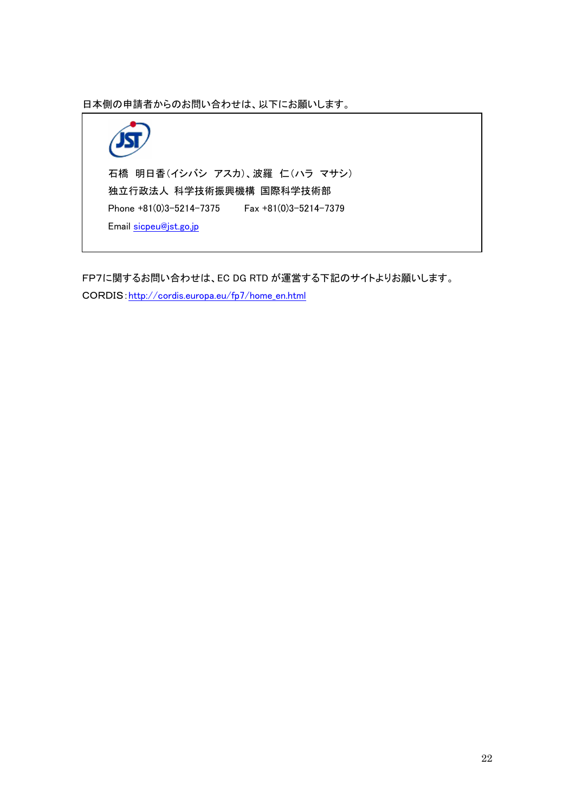日本側の申請者からのお問い合わせは、以下にお願いします。



FP7に関するお問い合わせは、EC DG RTD が運営する下記のサイトよりお願いします。 CORDIS[:http://cordis.europa.eu/fp7/home\\_en.html](http://cordis.europa.eu/fp7/home_en.html)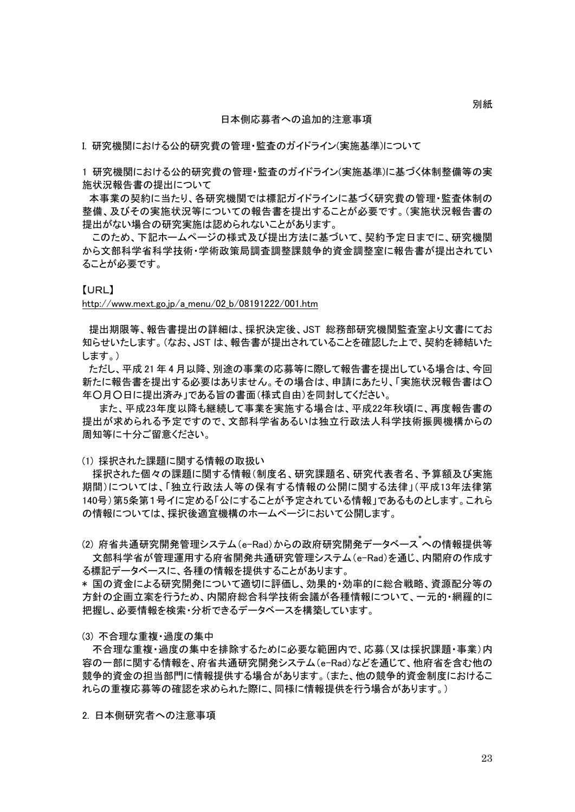#### 日本側応募者への追加的注意事項

I. 研究機関における公的研究費の管理・監査のガイドライン(実施基準)について

1 研究機関における公的研究費の管理・監査のガイドライン(実施基準)に基づく体制整備等の実 施状況報告書の提出について

 本事業の契約に当たり、各研究機関では標記ガイドラインに基づく研究費の管理・監査体制の 整備、及びその実施状況等についての報告書を提出することが必要です。(実施状況報告書の 提出がない場合の研究実施は認められないことがあります。

このため、下記ホームページの様式及び提出方法に基づいて、契約予定日までに、研究機関 から文部科学省科学技術・学術政策局調査調整課競争的資金調整室に報告書が提出されてい ることが必要です。

#### 【URL】

[http://www.mext.go.jp/a\\_menu/02\\_b/08191222/001.htm](http://www.mext.go.jp/a_menu/02_b/08191222/001.htm)

 提出期限等、報告書提出の詳細は、採択決定後、JST 総務部研究機関監査室より文書にてお 知らせいたします。(なお、JST は、報告書が提出されていることを確認した上で、契約を締結いた します。)

 ただし、平成 21 年 4 月以降、別途の事業の応募等に際して報告書を提出している場合は、今回 新たに報告書を提出する必要はありません。その場合は、申請にあたり、「実施状況報告書は○ 年○月○日に提出済み」である旨の書面(様式自由)を同封してください。

 また、平成23年度以降も継続して事業を実施する場合は、平成22年秋頃に、再度報告書の 提出が求められる予定ですので、文部科学省あるいは独立行政法人科学技術振興機構からの 周知等に十分ご留意ください。

(1) 採択された課題に関する情報の取扱い

採択された個々の課題に関する情報(制度名、研究課題名、研究代表者名、予算額及び実施 期間)については、「独立行政法人等の保有する情報の公開に関する法律」(平成13年法律第 140号)第5条第1号イに定める「公にすることが予定されている情報」であるものとします。これら の情報については、採択後適宜機構のホームページにおいて公開します。

(2)府省共通研究開発管理システム(e-Rad)からの政府研究開発データベース<sup>\*</sup>への情報提供等 文部科学省が管理運用する府省開発共通研究管理システム(e-Rad)を通じ、内閣府の作成す る標記データベースに、各種の情報を提供することがあります。

\* 国の資金による研究開発について適切に評価し、効果的・効率的に総合戦略、資源配分等の 方針の企画立案を行うため、内閣府総合科学技術会議が各種情報について、一元的・網羅的に 把握し、必要情報を検索・分析できるデータベースを構築しています。

#### (3) 不合理な重複・過度の集中

不合理な重複・過度の集中を排除するために必要な範囲内で、応募(又は採択課題・事業)内 容の一部に関する情報を、府省共通研究開発システム(e-Rad)などを通じて、他府省を含む他の 競争的資金の担当部門に情報提供する場合があります。(また、他の競争的資金制度におけるこ れらの重複応募等の確認を求められた際に、同様に情報提供を行う場合があります。)

2. 日本側研究者への注意事項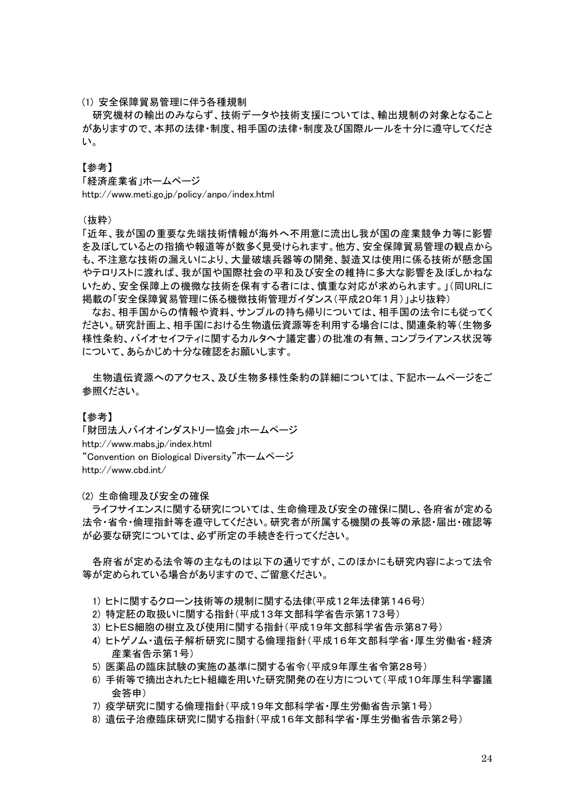(1) 安全保障貿易管理に伴う各種規制

研究機材の輸出のみならず、技術データや技術支援については、輸出規制の対象となること がありますので、本邦の法律・制度、相手国の法律・制度及び国際ルールを十分に遵守してくださ い。

【参考】

「経済産業省」ホームページ http://www.meti.go.jp/policy/anpo/index.html

(抜粋)

「近年、我が国の重要な先端技術情報が海外へ不用意に流出し我が国の産業競争力等に影響 を及ぼしているとの指摘や報道等が数多く見受けられます。他方、安全保障貿易管理の観点から も、不注意な技術の漏えいにより、大量破壊兵器等の開発、製造又は使用に係る技術が懸念国 やテロリストに渡れば、我が国や国際社会の平和及び安全の維持に多大な影響を及ぼしかねな いため、安全保障上の機微な技術を保有する者には、慎重な対応が求められます。」(同URLに 掲載の「安全保障貿易管理に係る機微技術管理ガイダンス(平成20年1月)」より抜粋)

なお、相手国からの情報や資料、サンプルの持ち帰りについては、相手国の法令にも従ってく ださい。研究計画上、相手国における生物遺伝資源等を利用する場合には、関連条約等(生物多 様性条約、バイオセイフティに関するカルタヘナ議定書)の批准の有無、コンプライアンス状況等 について、あらかじめ十分な確認をお願いします。

生物遺伝資源へのアクセス、及び生物多様性条約の詳細については、下記ホームページをご 参照ください。

### 【参考】

「財団法人バイオインダストリー協会」ホームページ http://www.mabs.jp/index.html "Convention on Biological Diversity"ホームページ http://www.cbd.int/

(2) 生命倫理及び安全の確保

ライフサイエンスに関する研究については、生命倫理及び安全の確保に関し、各府省が定める 法令・省令・倫理指針等を遵守してください。研究者が所属する機関の長等の承認・届出・確認等 が必要な研究については、必ず所定の手続きを行ってください。

各府省が定める法令等の主なものは以下の通りですが、このほかにも研究内容によって法令 等が定められている場合がありますので、ご留意ください。

- 1) ヒトに関するクローン技術等の規制に関する法律(平成12年法律第146号)
- 2) 特定胚の取扱いに関する指針(平成13年文部科学省告示第173号)
- 3) ヒトES細胞の樹立及び使用に関する指針(平成19年文部科学省告示第87号)
- 4) ヒトゲノム・遺伝子解析研究に関する倫理指針(平成16年文部科学省・厚生労働省・経済 産業省告示第1号)
- 5) 医薬品の臨床試験の実施の基準に関する省令(平成9年厚生省令第28号)
- 6) 手術等で摘出されたヒト組織を用いた研究開発の在り方について(平成10年厚生科学審議 会答申)
- 7) 疫学研究に関する倫理指針(平成19年文部科学省・厚生労働省告示第1号)
- 8) 遺伝子治療臨床研究に関する指針(平成16年文部科学省・厚生労働省告示第2号)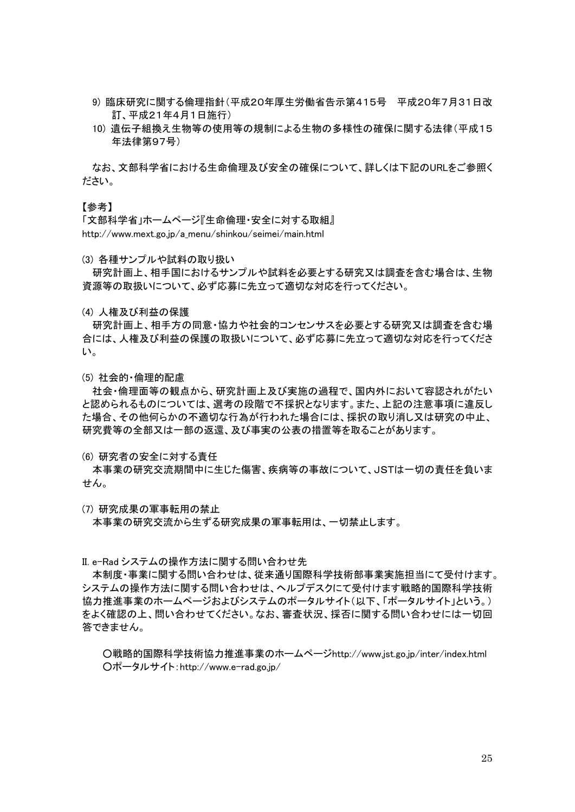- 9) 臨床研究に関する倫理指針(平成20年厚生労働省告示第415号 平成20年7月31日改 訂、平成21年4月1日施行)
- 10) 遺伝子組換え生物等の使用等の規制による生物の多様性の確保に関する法律(平成15 年法律第97号)

なお、文部科学省における生命倫理及び安全の確保について、詳しくは下記のURLをご参照く ださい。

#### 【参考】

「文部科学省」ホームページ『生命倫理・安全に対する取組』 http://www.mext.go.jp/a\_menu/shinkou/seimei/main.html

(3) 各種サンプルや試料の取り扱い

研究計画上、相手国におけるサンプルや試料を必要とする研究又は調査を含む場合は、生物 資源等の取扱いについて、必ず応募に先立って適切な対応を行ってください。

(4) 人権及び利益の保護

研究計画上、相手方の同意・協力や社会的コンセンサスを必要とする研究又は調査を含む場 合には、人権及び利益の保護の取扱いについて、必ず応募に先立って適切な対応を行ってくださ い。

(5) 社会的・倫理的配慮

社会・倫理面等の観点から、研究計画上及び実施の過程で、国内外において容認されがたい と認められるものについては、選考の段階で不採択となります。また、上記の注意事項に違反し た場合、その他何らかの不適切な行為が行われた場合には、採択の取り消し又は研究の中止、 研究費等の全部又は一部の返還、及び事実の公表の措置等を取ることがあります。

(6) 研究者の安全に対する責任

本事業の研究交流期間中に生じた傷害、疾病等の事故について、JSTは一切の責任を負いま せん。

(7) 研究成果の軍事転用の禁止

本事業の研究交流から生ずる研究成果の軍事転用は、一切禁止します。

II. e-Rad システムの操作方法に関する問い合わせ先

本制度・事業に関する問い合わせは、従来通り国際科学技術部事業実施担当にて受付けます。 システムの操作方法に関する問い合わせは、ヘルプデスクにて受付けます戦略的国際科学技術 協力推進事業のホームページおよびシステムのポータルサイト(以下、「ポータルサイト」という。) をよく確認の上、問い合わせてください。なお、審査状況、採否に関する問い合わせには一切回 答できません。

○戦略的国際科学技術協力推進事業のホームページhttp://www.jst.go.jp/inter/index.html ○ポータルサイト:http://www.e-rad.go.jp/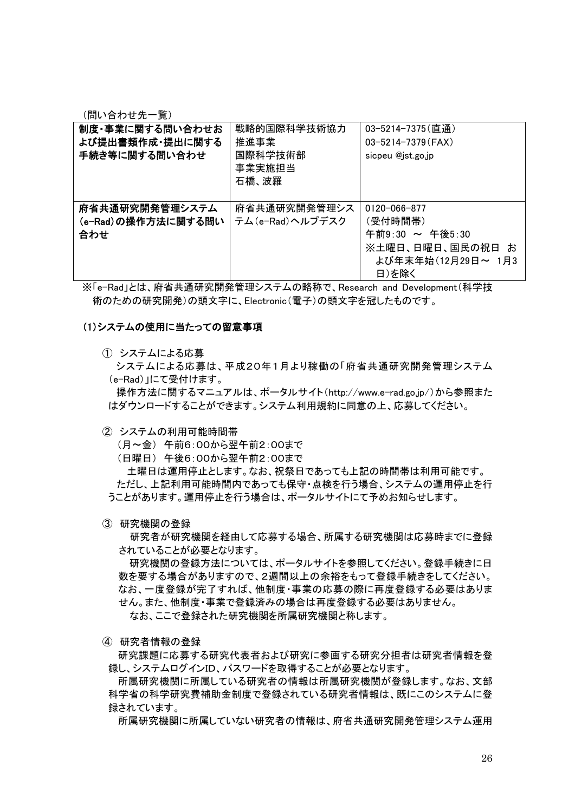(問い合わせ先一覧)

| 制度・事業に関する問い合わせお<br>よび提出書類作成・提出に関する<br>手続き等に関する問い合わせ | 戦略的国際科学技術協力<br>推進事業<br>国際科学技術部<br>事業実施担当<br>石橋、波羅 | 03-5214-7375(直通)<br>$03 - 5214 - 7379$ (FAX)<br>sicpeu @jst.go.jp                                   |
|-----------------------------------------------------|---------------------------------------------------|-----------------------------------------------------------------------------------------------------|
| 府省共通研究開発管理システム<br>(e-Rad)の操作方法に関する問い<br>合わせ         | 府省共通研究開発管理シス<br>テム(e-Rad)ヘルプデスク                   | $0120 - 066 - 877$<br>(受付時間帯)<br>午前9:30 ~ 午後5:30<br>※土曜日、日曜日、国民の祝日 お<br>よび年末年始(12月29日~ 1月3<br>日)を除く |

※「e-Rad」とは、府省共通研究開発管理システムの略称で、Research and Development(科学技 術のための研究開発)の頭文字に、Electronic(電子)の頭文字を冠したものです。

#### (1)システムの使用に当たっての留意事項

① システムによる応募

システムによる応募は、平成20年1月より稼働の「府省共通研究開発管理システム (e-Rad)」にて受付けます。

操作方法に関するマニュアルは、ポータルサイト(http://www.e-rad.go.jp/)から参照また はダウンロードすることができます。システム利用規約に同意の上、応募してください。

② システムの利用可能時間帯

(月~金) 午前6:00から翌午前2:00まで

(日曜日) 午後6:00から翌午前2:00まで

土曜日は運用停止とします。なお、祝祭日であっても上記の時間帯は利用可能です。 ただし、上記利用可能時間内であっても保守・点検を行う場合、システムの運用停止を行 うことがあります。運用停止を行う場合は、ポータルサイトにて予めお知らせします。

③ 研究機関の登録

研究者が研究機関を経由して応募する場合、所属する研究機関は応募時までに登録 されていることが必要となります。

研究機関の登録方法については、ポータルサイトを参照してください。登録手続きに日 数を要する場合がありますので、2週間以上の余裕をもって登録手続きをしてください。 なお、一度登録が完了すれば、他制度・事業の応募の際に再度登録する必要はありま せん。また、他制度・事業で登録済みの場合は再度登録する必要はありません。 なお、ここで登録された研究機関を所属研究機関と称します。

④ 研究者情報の登録

研究課題に応募する研究代表者および研究に参画する研究分担者は研究者情報を登 録し、システムログインID、パスワードを取得することが必要となります。

所属研究機関に所属している研究者の情報は所属研究機関が登録します。なお、文部 科学省の科学研究費補助金制度で登録されている研究者情報は、既にこのシステムに登 録されています。

所属研究機関に所属していない研究者の情報は、府省共通研究開発管理システム運用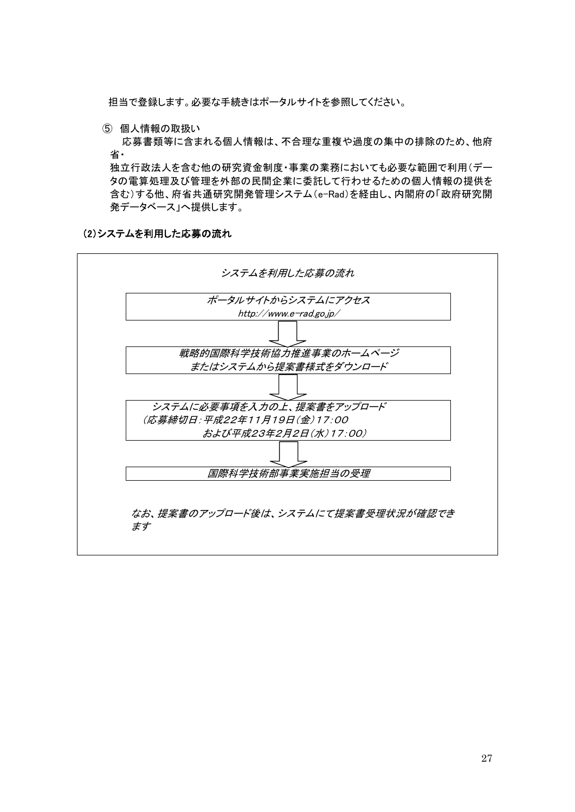担当で登録します。必要な手続きはポータルサイトを参照してください。

⑤ 個人情報の取扱い

応募書類等に含まれる個人情報は、不合理な重複や過度の集中の排除のため、他府 省・

独立行政法人を含む他の研究資金制度・事業の業務においても必要な範囲で利用(デー タの電算処理及び管理を外部の民間企業に委託して行わせるための個人情報の提供を 含む)する他、府省共通研究開発管理システム(e-Rad)を経由し、内閣府の「政府研究開 発データベース」へ提供します。

(2)システムを利用した応募の流れ

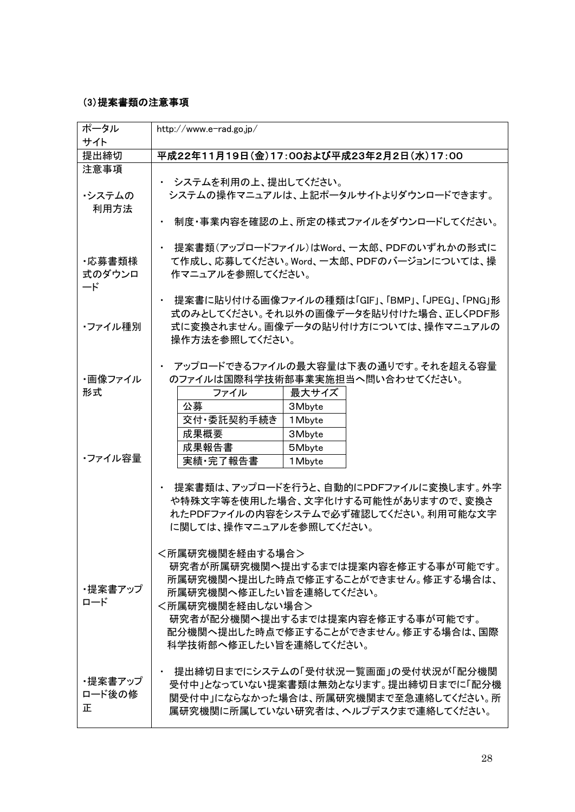## (3)提案書類の注意事項

| ポータル<br>サイト | http://www.e-rad.go.jp/                                                     |  |  |
|-------------|-----------------------------------------------------------------------------|--|--|
| 提出締切        | 平成22年11月19日(金)17:00および平成23年2月2日(水)17:00                                     |  |  |
| 注意事項        |                                                                             |  |  |
|             | ・ システムを利用の上、提出してください。                                                       |  |  |
| ・システムの      | システムの操作マニュアルは、上記ポータルサイトよりダウンロードできます。                                        |  |  |
| 利用方法        |                                                                             |  |  |
|             | 制度・事業内容を確認の上、所定の様式ファイルをダウンロードしてください。                                        |  |  |
|             | 提案書類(アップロードファイル)はWord、一太郎、PDFのいずれかの形式に                                      |  |  |
| ・応募書類様      | て作成し、応募してください。Word、一太郎、PDFのバージョンについては、操                                     |  |  |
| 式のダウンロ      | 作マニュアルを参照してください。                                                            |  |  |
| ード          |                                                                             |  |  |
|             | 提案書に貼り付ける画像ファイルの種類は「GIF」、「BMP」、「JPEG」、「PNG」形                                |  |  |
|             | 式のみとしてください。それ以外の画像データを貼り付けた場合、正しくPDF形                                       |  |  |
| ・ファイル種別     | 式に変換されません。画像データの貼り付け方については、操作マニュアルの                                         |  |  |
|             | 操作方法を参照してください。                                                              |  |  |
|             |                                                                             |  |  |
|             | ・ アップロードできるファイルの最大容量は下表の通りです。それを超える容量                                       |  |  |
| ・画像ファイル     | のファイルは国際科学技術部事業実施担当へ問い合わせてください。                                             |  |  |
| 形式          | 最大サイズ<br>ファイル                                                               |  |  |
|             | 公募<br>3Mbyte                                                                |  |  |
|             | 交付・委託契約手続き<br>1 Mbyte                                                       |  |  |
|             | 成果概要<br>3Mbyte                                                              |  |  |
| ・ファイル容量     | 成果報告書<br>5Mbyte                                                             |  |  |
|             | 実績·完了報告書<br>1 Mbyte                                                         |  |  |
|             | 提案書類は、アップロードを行うと、自動的にPDFファイルに変換します。外字<br>や特殊文字等を使用した場合、文字化けする可能性がありますので、変換さ |  |  |
|             | れたPDFファイルの内容をシステムで必ず確認してください。利用可能な文字                                        |  |  |
|             | に関しては、操作マニュアルを参照してください。                                                     |  |  |
|             | <所属研究機関を経由する場合>                                                             |  |  |
|             | 研究者が所属研究機関へ提出するまでは提案内容を修正する事が可能です。                                          |  |  |
|             | 所属研究機関へ提出した時点で修正することができません。修正する場合は、                                         |  |  |
| ・提案書アップ     | 所属研究機関へ修正したい旨を連絡してください。                                                     |  |  |
| ロード         | <所属研究機関を経由しない場合>                                                            |  |  |
|             | 研究者が配分機関へ提出するまでは提案内容を修正する事が可能です。                                            |  |  |
|             | 配分機関へ提出した時点で修正することができません。修正する場合は、国際                                         |  |  |
|             | 科学技術部へ修正したい旨を連絡してください。                                                      |  |  |
|             |                                                                             |  |  |
| ・提案書アップ     | 提出締切日までにシステムの「受付状況一覧画面」の受付状況が「配分機関                                          |  |  |
| ロード後の修      | 受付中」となっていない提案書類は無効となります。提出締切日までに「配分機                                        |  |  |
| 正           | 関受付中」にならなかった場合は、所属研究機関まで至急連絡してください。所<br>属研究機関に所属していない研究者は、ヘルプデスクまで連絡してください。 |  |  |
|             |                                                                             |  |  |